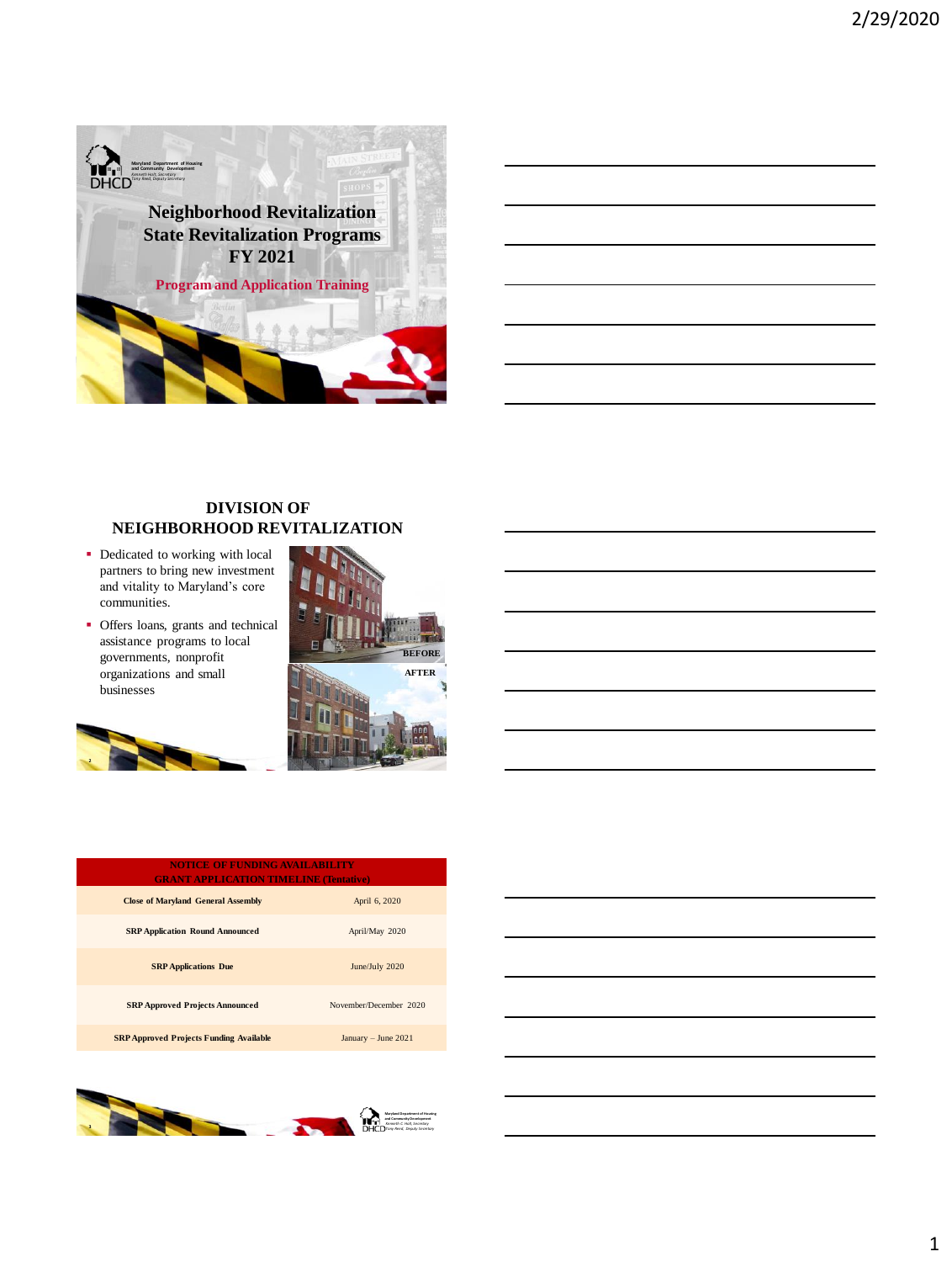

# **DIVISION OF NEIGHBORHOOD REVITALIZATION**

- Dedicated to working with local partners to bring new investment and vitality to Maryland's core communities.
- Offers loans, grants and technical assistance programs to local governments, nonprofit organizations and small businesses





| <b>NOTICE OF FUNDING AVAILABILITY</b><br><b>GRANT APPLICATION TIMELINE (Tentative)</b> |                        |  |
|----------------------------------------------------------------------------------------|------------------------|--|
| <b>Close of Maryland General Assembly</b>                                              | April 6, 2020          |  |
| <b>SRP Application Round Announced</b>                                                 | April/May 2020         |  |
| <b>SRP</b> Applications Due                                                            | June/July 2020         |  |
| <b>SRP Approved Projects Announced</b>                                                 | November/December 2020 |  |
| <b>SRP Approved Projects Funding Available</b>                                         | January $-$ June 2021  |  |

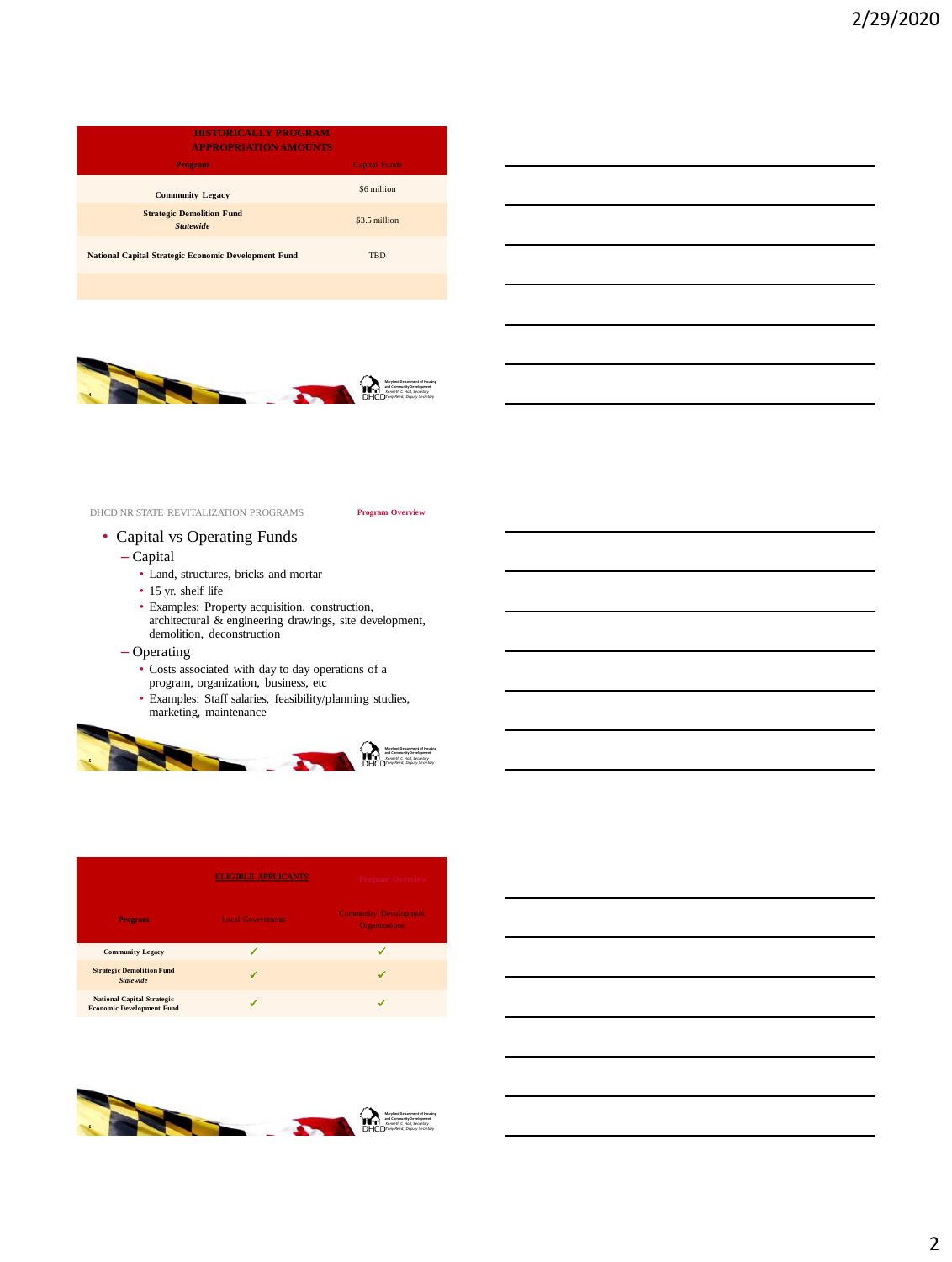| <b>HISTORICALLY PROGRAM</b><br><b>APPROPRIATION AMOUNTS</b> |                      |  |
|-------------------------------------------------------------|----------------------|--|
| <b>Program</b>                                              | <b>Capital Funds</b> |  |
| <b>Community Legacy</b>                                     | \$6 million          |  |
| <b>Strategic Demolition Fund</b><br><b>Statewide</b>        | \$3.5 million        |  |
| <b>National Capital Strategic Economic Development Fund</b> | <b>TRD</b>           |  |
|                                                             |                      |  |



#### DHCD NR STATE REVITALIZATION PROGRAMS **Program Overview**

# • Capital vs Operating Funds

- Capital
	- Land, structures, bricks and mortar
	- 15 yr. shelf life
	- Examples: Property acquisition, construction, architectural & engineering drawings, site development, demolition, deconstruction
- Operating
	- Costs associated with day to day operations of a program, organization, business, etc
	- Examples: Staff salaries, feasibility/planning studies, marketing, maintenance



|                                                                       | <b>ELIGIBLE APPLICANTS</b> | <b>Program Overview</b>                              |
|-----------------------------------------------------------------------|----------------------------|------------------------------------------------------|
| <b>Program</b>                                                        | <b>Local Governments</b>   | <b>Community Development</b><br><b>Organizations</b> |
| <b>Community Legacy</b>                                               |                            |                                                      |
| <b>Strategic Demolition Fund</b><br><b>Statewide</b>                  |                            |                                                      |
| <b>National Capital Strategic</b><br><b>Economic Development Fund</b> |                            |                                                      |

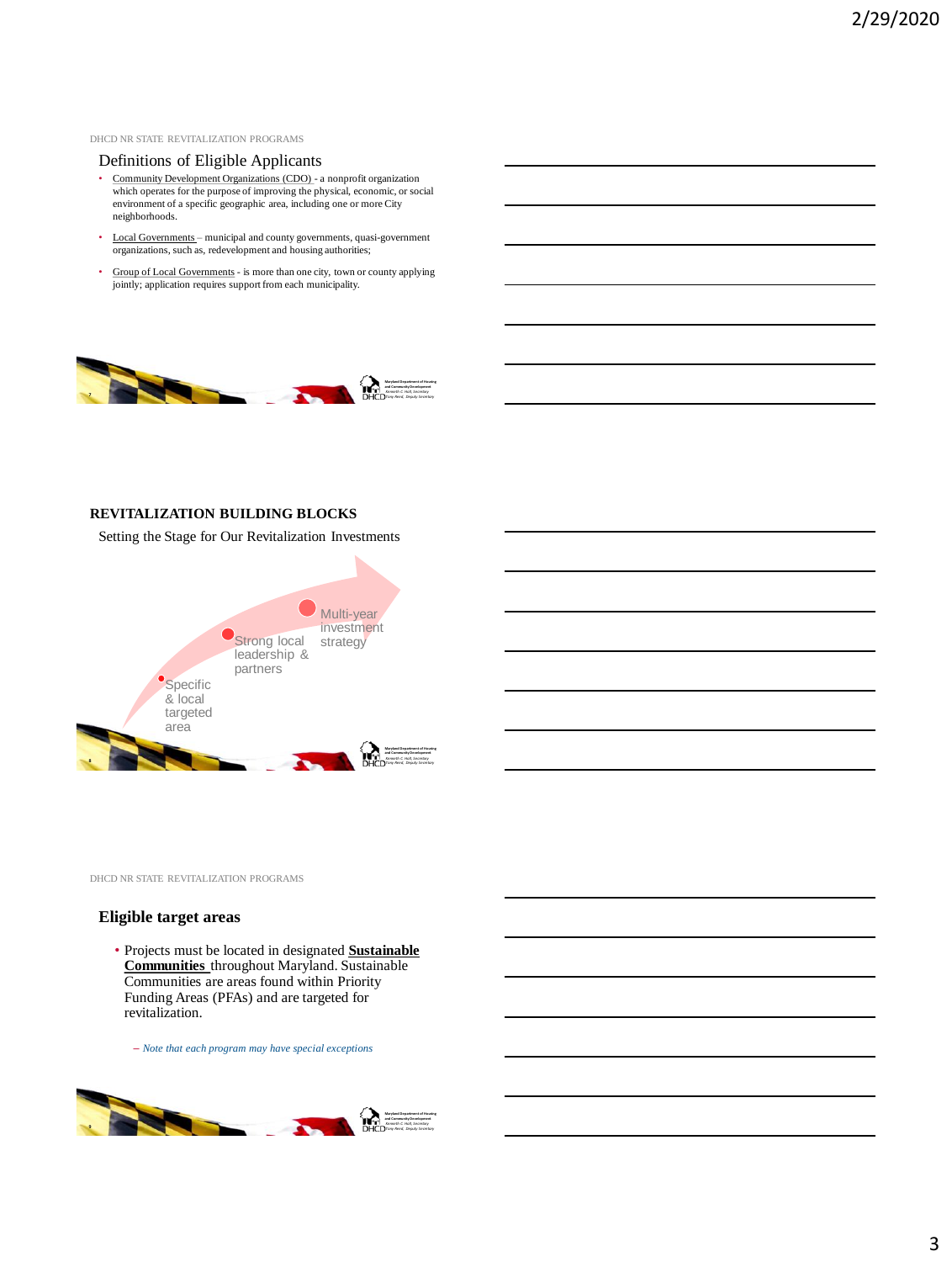# Definitions of Eligible Applicants

- Community Development Organizations (CDO) a nonprofit organization which operates for the purpose of improving the physical, economic, or social environment of a specific geographic area, including one or more City neighborhoods.
- Local Governments municipal and county governments, quasi-government organizations, such as, redevelopment and housing authorities;
- Group of Local Governments is more than one city, town or county applying jointly; application requires support from each municipality.



# **REVITALIZATION BUILDING BLOCKS**

Setting the Stage for Our Revitalization Investments



DHCD NR STATE REVITALIZATION PROGRAMS

# **Eligible target areas**

• Projects must be located in designated **Sustainable Communities** throughout Maryland. Sustainable Communities are areas found within Priority Funding Areas (PFAs) and are targeted for revitalization.

– *Note that each program may have special exceptions*

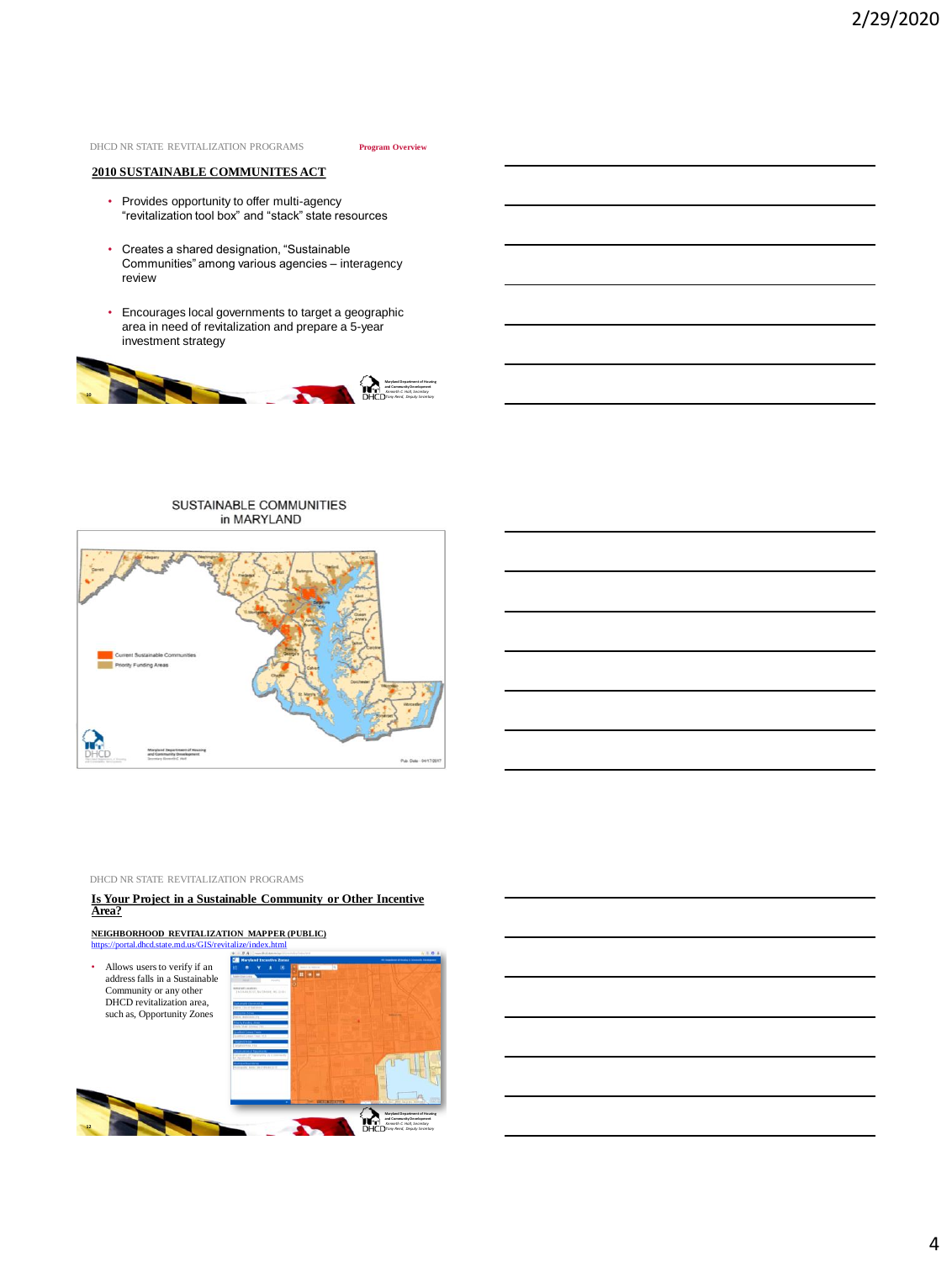**Program Overview**

# **2010 SUSTAINABLE COMMUNITES ACT**

- Provides opportunity to offer multi-agency "revitalization tool box" and "stack" state resources
- Creates a shared designation, "Sustainable Communities" among various agencies – interagency review
- Encourages local governments to target a geographic area in need of revitalization and prepare a 5-year investment strategy



# SUSTAINABLE COMMUNITIES in MARYLAND



DHCD NR STATE REVITALIZATION PROGRAMS

# **Is Your Project in a Sustainable Community or Other Incentive Area?**

**NEIGHBORHOOD REVITALIZATION MAPPER (PUBLIC)**

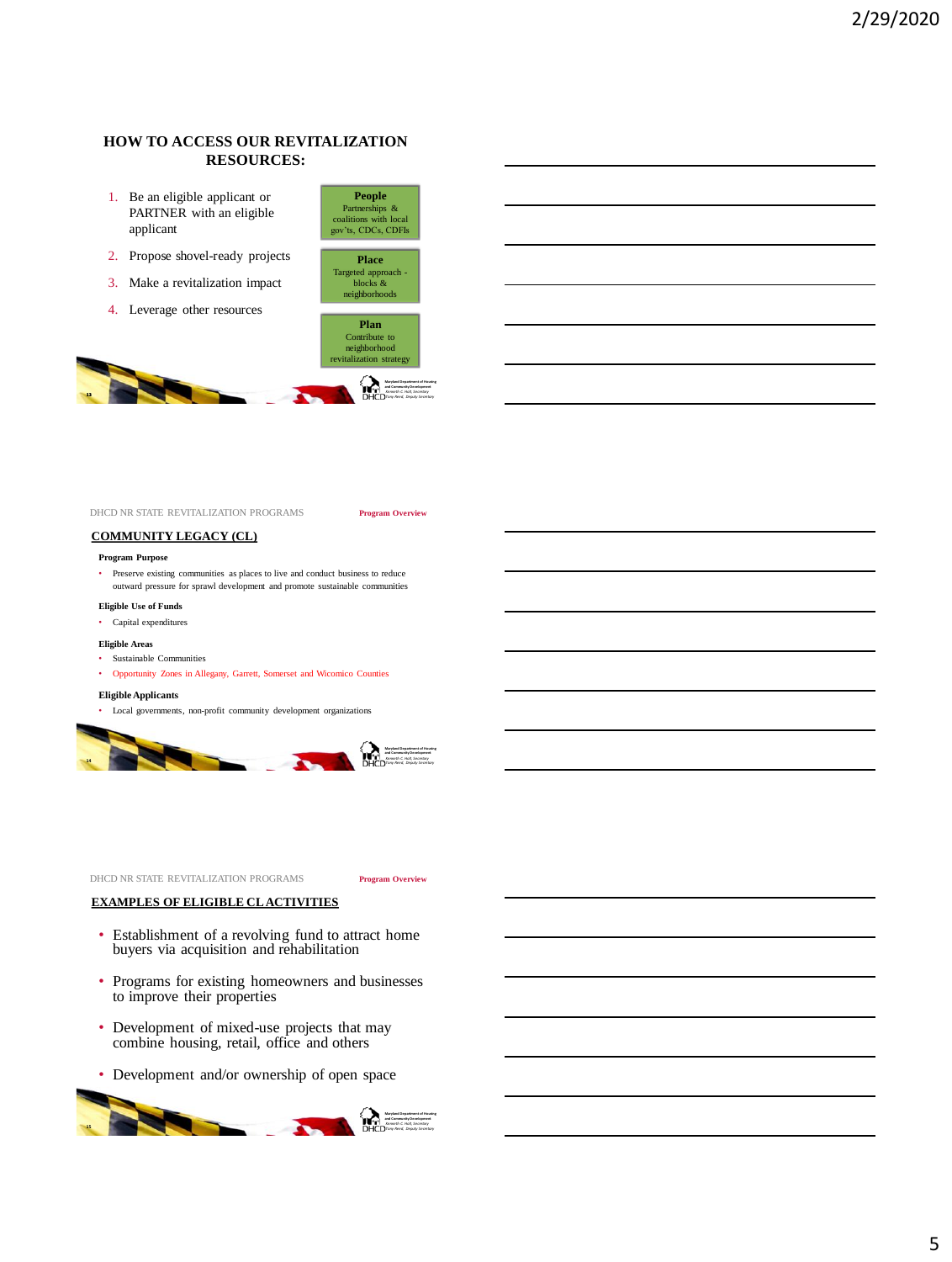# **HOW TO ACCESS OUR REVITALIZATION RESOURCES:**

- 1. Be an eligible applicant or PARTNER with an eligible applicant
- 2. Propose shovel-ready projects
- 3. Make a revitalization impact
- 4. Leverage other resources



**People** Partnerships & coalitions with local gov'ts, CDCs, CDFIs

DHCD NR STATE REVITALIZATION PROGRAMS **Program Overview**

# **COMMUNITY LEGACY (CL)**

#### **Program Purpose**

**13**

• Preserve existing communities as places to live and conduct business to reduce outward pressure for sprawl development and promote sustainable communities

#### **Eligible Use of Funds**

• Capital expenditures

# **Eligible Areas**

- Sustainable Communities
- Opportunity Zones in Allegany, Garrett, Somerset and Wicomico Counties

# **Eligible Applicants**

• Local governments, non-profit community development organizations



DHCD NR STATE REVITALIZATION PROGRAMS **Program Overview**

# **EXAMPLES OF ELIGIBLE CL ACTIVITIES**

- Establishment of a revolving fund to attract home buyers via acquisition and rehabilitation
- Programs for existing homeowners and businesses to improve their properties
- Development of mixed-use projects that may combine housing, retail, office and others
- Development and/or ownership of open space

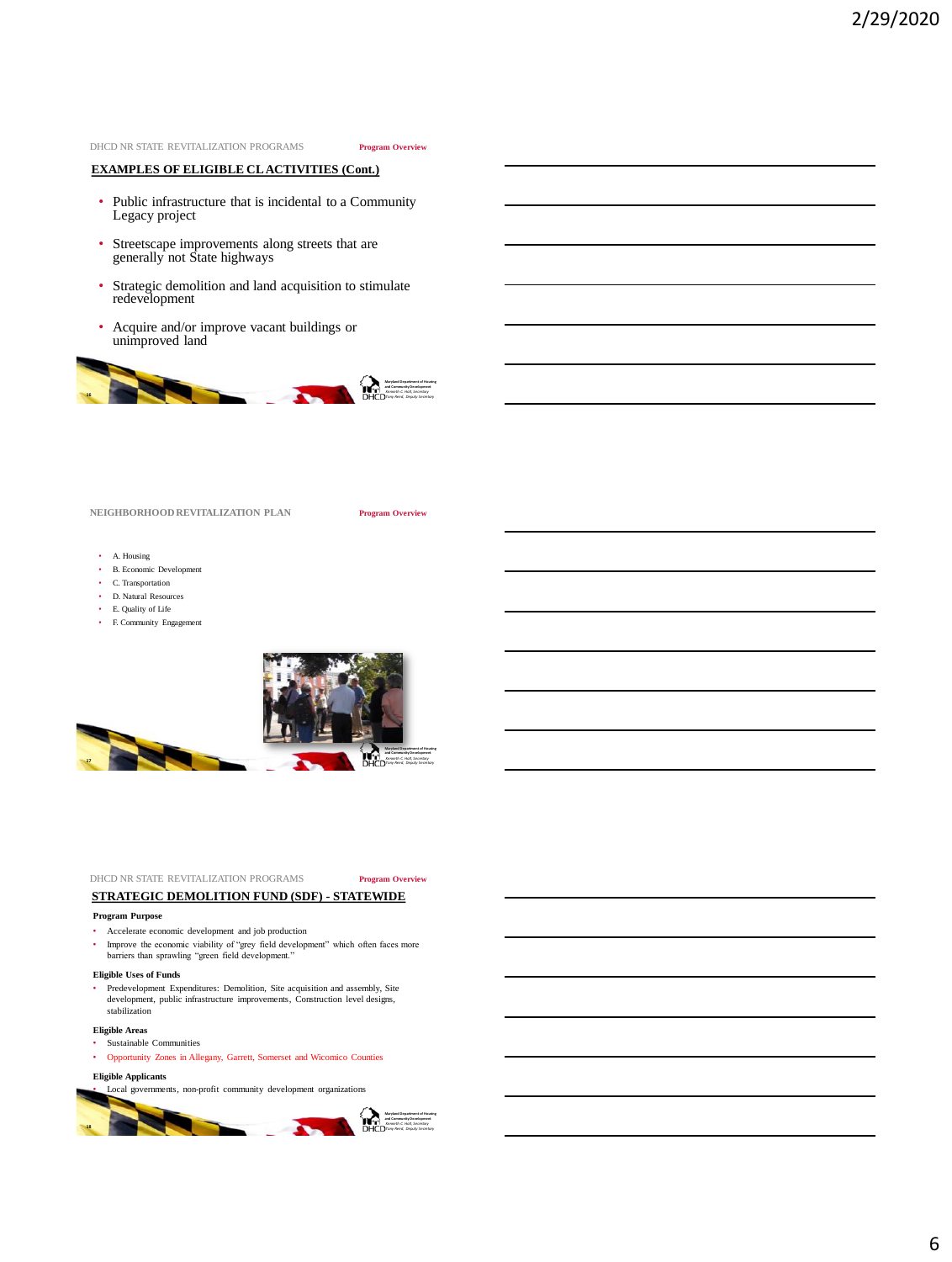#### DHCD NR STATE REVITALIZATION PROGRAMS **Program Overview**

# **EXAMPLES OF ELIGIBLE CL ACTIVITIES (Cont.)**

- Public infrastructure that is incidental to a Community Legacy project
- Streetscape improvements along streets that are generally not State highways
- Strategic demolition and land acquisition to stimulate redevelopment
- Acquire and/or improve vacant buildings or unimproved land



# **NEIGHBORHOOD REVITALIZATION PLAN Program Overview**

- A. Housing
- B. Economic Development
- C. Transportation
- D. Natural Resources
- E. Quality of Life
- F. Community Engagement



DHCD NR STATE REVITALIZATION PROGRAMS **Program Overview**

# **STRATEGIC DEMOLITION FUND (SDF) - STATEWIDE**

#### **Program Purpose**

- Accelerate economic development and job production
- Improve the economic viability of "grey field development" which often faces more barriers than sprawling "green field development."

#### **Eligible Uses of Funds**

• Predevelopment Expenditures: Demolition, Site acquisition and assembly, Site development, public infrastructure improvements, Construction level designs, stabilization

# **Eligible Areas**

- Sustainable Communities
- Opportunity Zones in Allegany, Garrett, Somerset and Wicomico Counties

# **Eligible Applicants**

Local governments, non-profit community development organizations

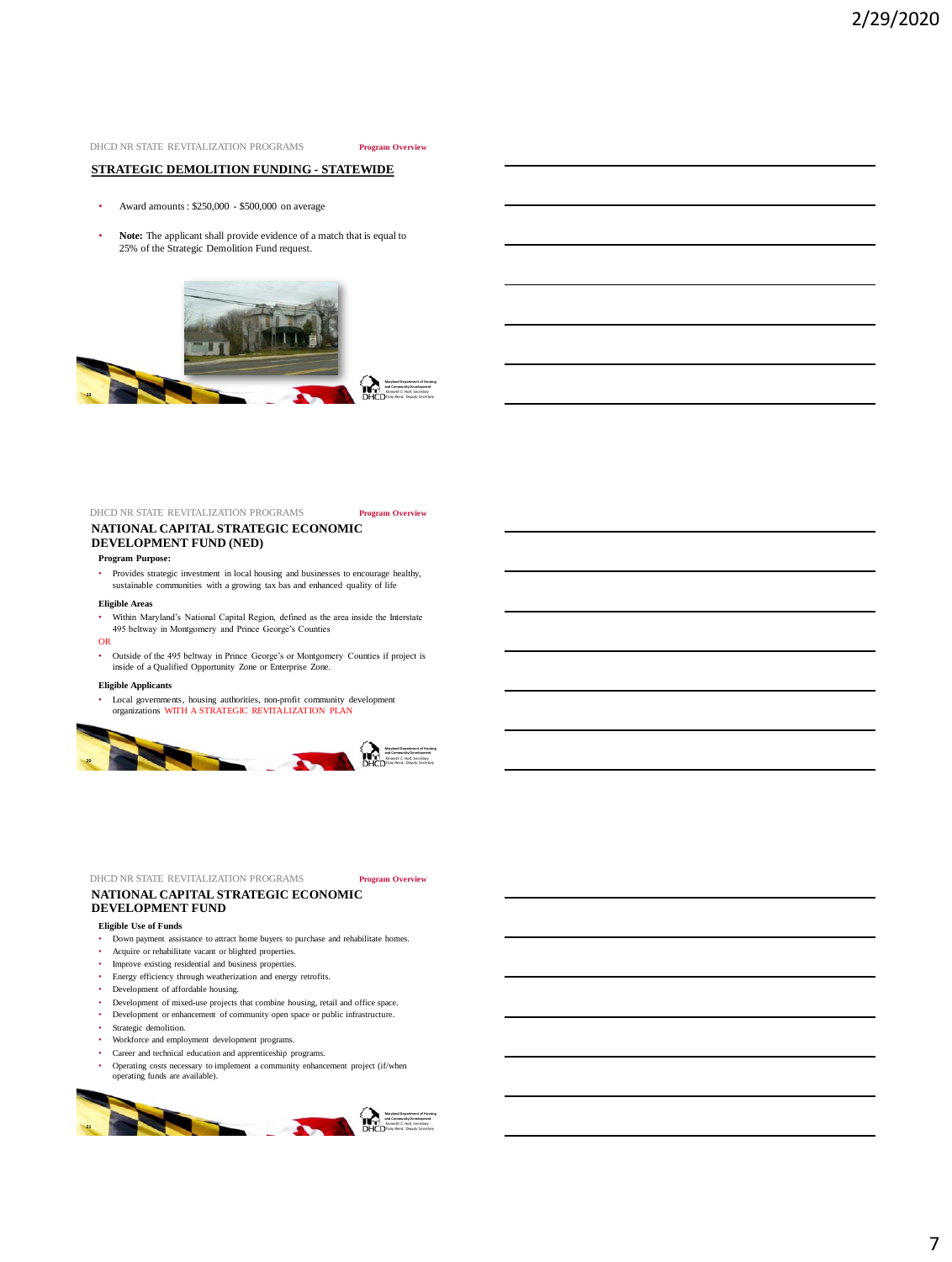#### DHCD NR STATE REVITALIZATION PROGRAMS **Program Overview**

# **STRATEGIC DEMOLITION FUNDING - STATEWIDE**

- Award amounts : \$250,000 \$500,000 on average
- **Note:** The applicant shall provide evidence of a match that is equal to 25% of the Strategic Demolition Fund request.



DHCD NR STATE REVITALIZATION PROGRAMS **Program Overview**

# **NATIONAL CAPITAL STRATEGIC ECONOMIC DEVELOPMENT FUND (NED)**

**Program Purpose:**

• Provides strategic investment in local housing and businesses to encourage healthy, sustainable communities with a growing tax bas and enhanced quality of life

#### **Eligible Areas**

• Within Maryland's National Capital Region, defined as the area inside the Interstate 495 beltway in Montgomery and Prince George's Counties

#### OR

• Outside of the 495 beltway in Prince George's or Montgomery Counties if project is inside of a Qualified Opportunity Zone or Enterprise Zone.

#### **Eligible Applicants**

• Local governments, housing authorities, non-profit community development organizations WITH A STRATEGIC REVITALIZATION PLAN



DHCD NR STATE REVITALIZATION PROGRAMS **Program Overview**

# **NATIONAL CAPITAL STRATEGIC ECONOMIC DEVELOPMENT FUND**

# **Eligible Use of Funds**

- Down payment assistance to attract home buyers to purchase and rehabilitate homes.
- Acquire or rehabilitate vacant or blighted properties.
- Improve existing residential and business properties.<br>• Energy efficiency through weatherization and energy
- Energy efficiency through weatherization and energy retrofits.
- Development of affordable housing.<br>• Development of mixed-use projects
- Development of mixed-use projects that combine housing, retail and office space.
- Development or enhancement of community open space or public infrastructure.
- Strategic demolition.
- Workforce and employment development programs.<br>• Career and technical education and annenticeshin r
- Career and technical education and apprenticeship programs.
- Operating costs necessary to implement a community enhancement project (if/when operating funds are available).

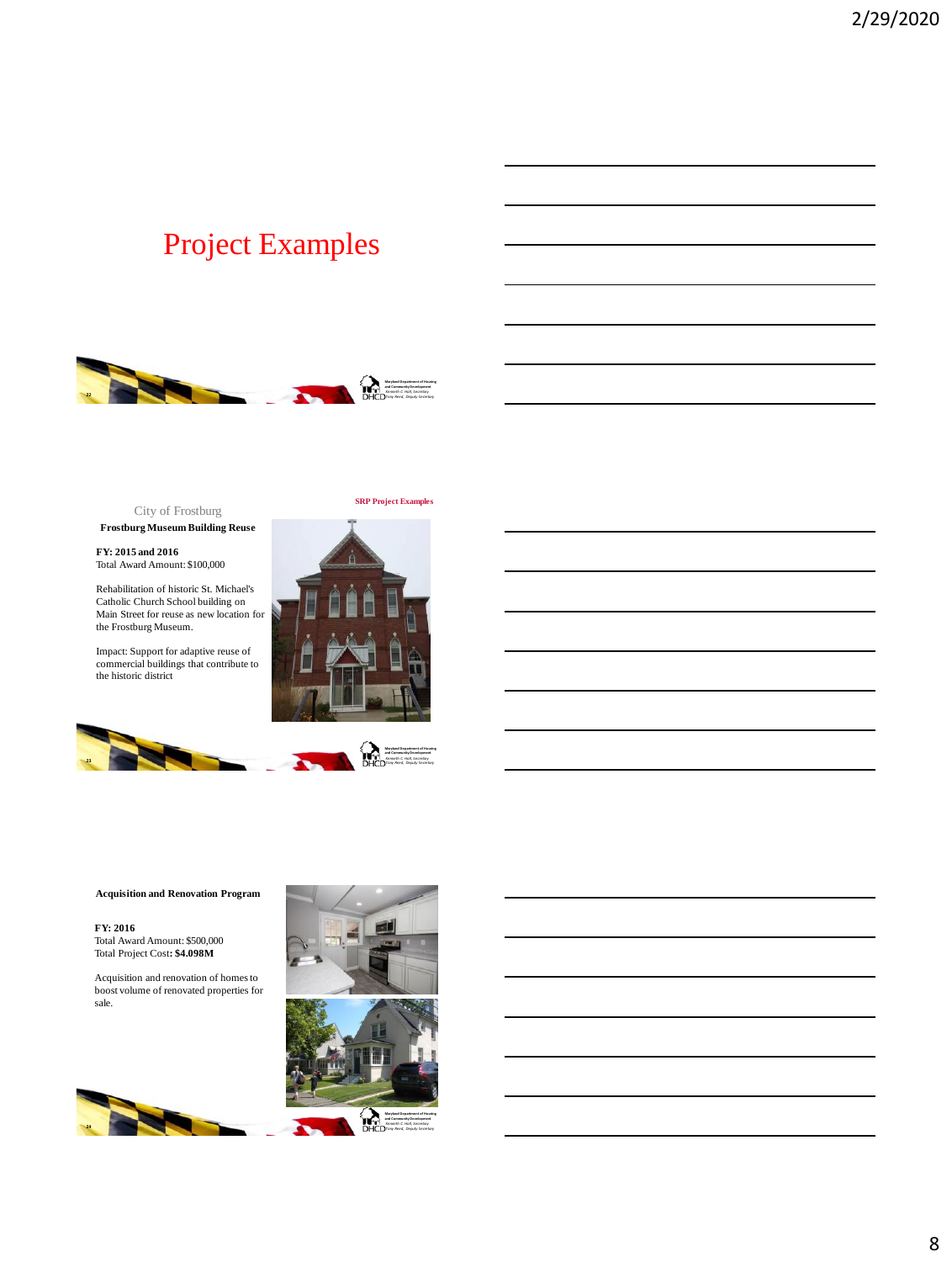# Project Examples



City of Frostburg

**Frostburg Museum Building Reuse**

**FY: 2015 and 2016** Total Award Amount: \$100,000

Rehabilitation of historic St. Michael's Catholic Church School building on Main Street for reuse as new location for the Frostburg Museum.

Impact: Support for adaptive reuse of commercial buildings that contribute to the historic district



**SRP Project Examples**



# **Acquisition and Renovation Program**

**FY: 2016** Total Award Amount: \$500,000 Total Project Cost**: \$4.098M**

Acquisition and renovation of homes to boost volume of renovated properties for sale.



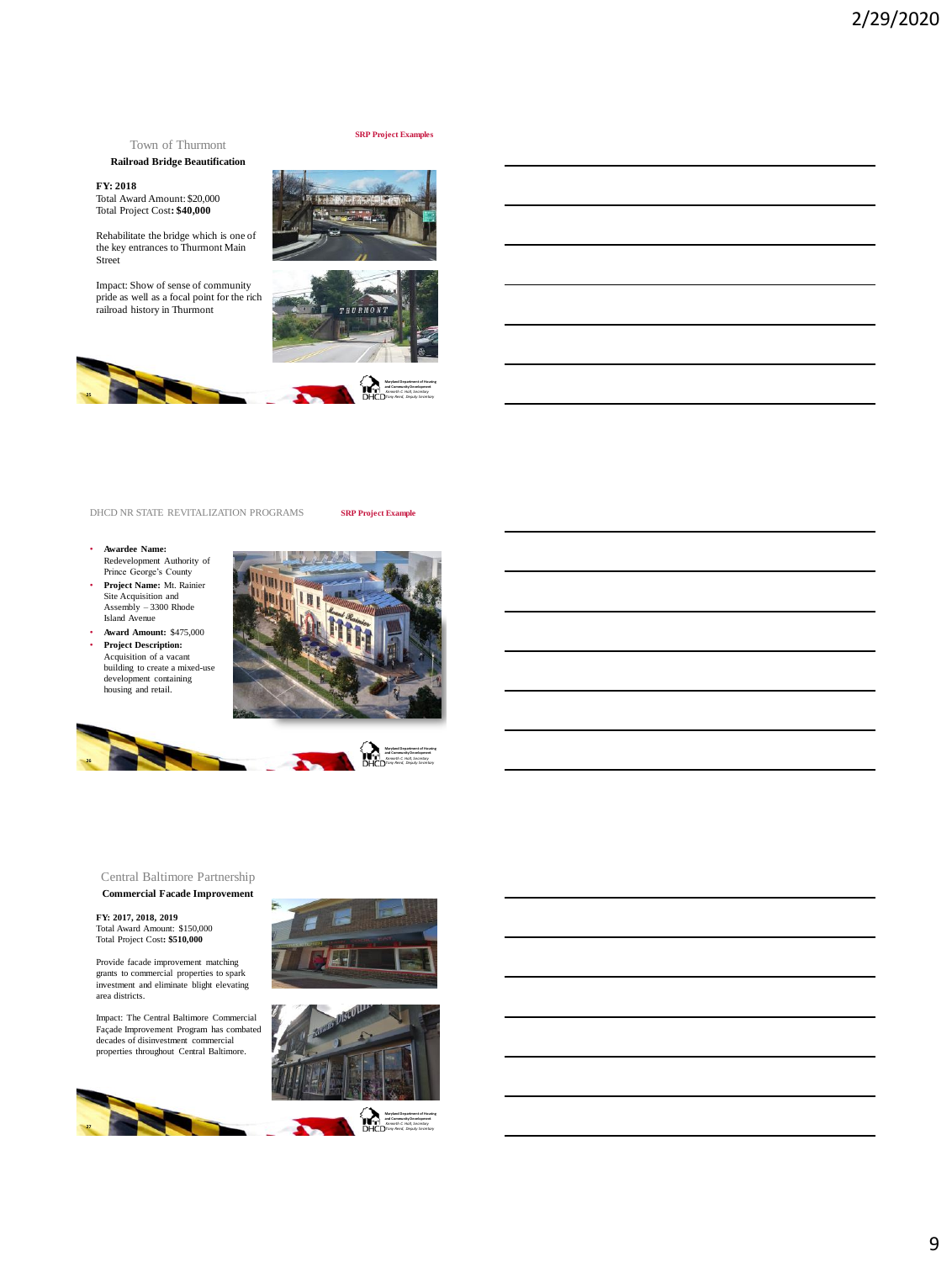# Town of Thurmont

**Railroad Bridge Beautification**

**FY: 2018** Total Award Amount: \$20,000

**25**

Total Project Cost**: \$40,000**

Rehabilitate the bridge which is one of the key entrances to Thurmont Main Street

Impact: Show of sense of community pride as well as a focal point for the rich railroad history in Thurmont

**SRP Project Examples**





DHCD NR STATE REVITALIZATION PROGRAMS **SRP Project Example**

*Kenneth C. Holt, Secretary Tony Reed, Deputy Secretary*

- **Awardee Name:**  Redevelopment Authority of Prince George's County
- **Project Name:** Mt. Rainier Site Acquisition and Assembly – 3300 Rhode Island Avenue
- **Award Amount:** \$475,000 • **Project Description:**  Acquisition of a vacant building to create a mixed-use development containing housing and retail.





# Central Baltimore Partnership **Commercial Facade Improvement**

**FY: 2017, 2018, 2019** Total Award Amount: \$150,000 Total Project Cost**: \$510,000**

Provide facade improvement matching grants to commercial properties to spark investment and eliminate blight elevating area districts.

Impact: The Central Baltimore Commercial Façade Improvement Program has combated decades of disinvestment commercial properties throughout Central Baltimore.

**27**



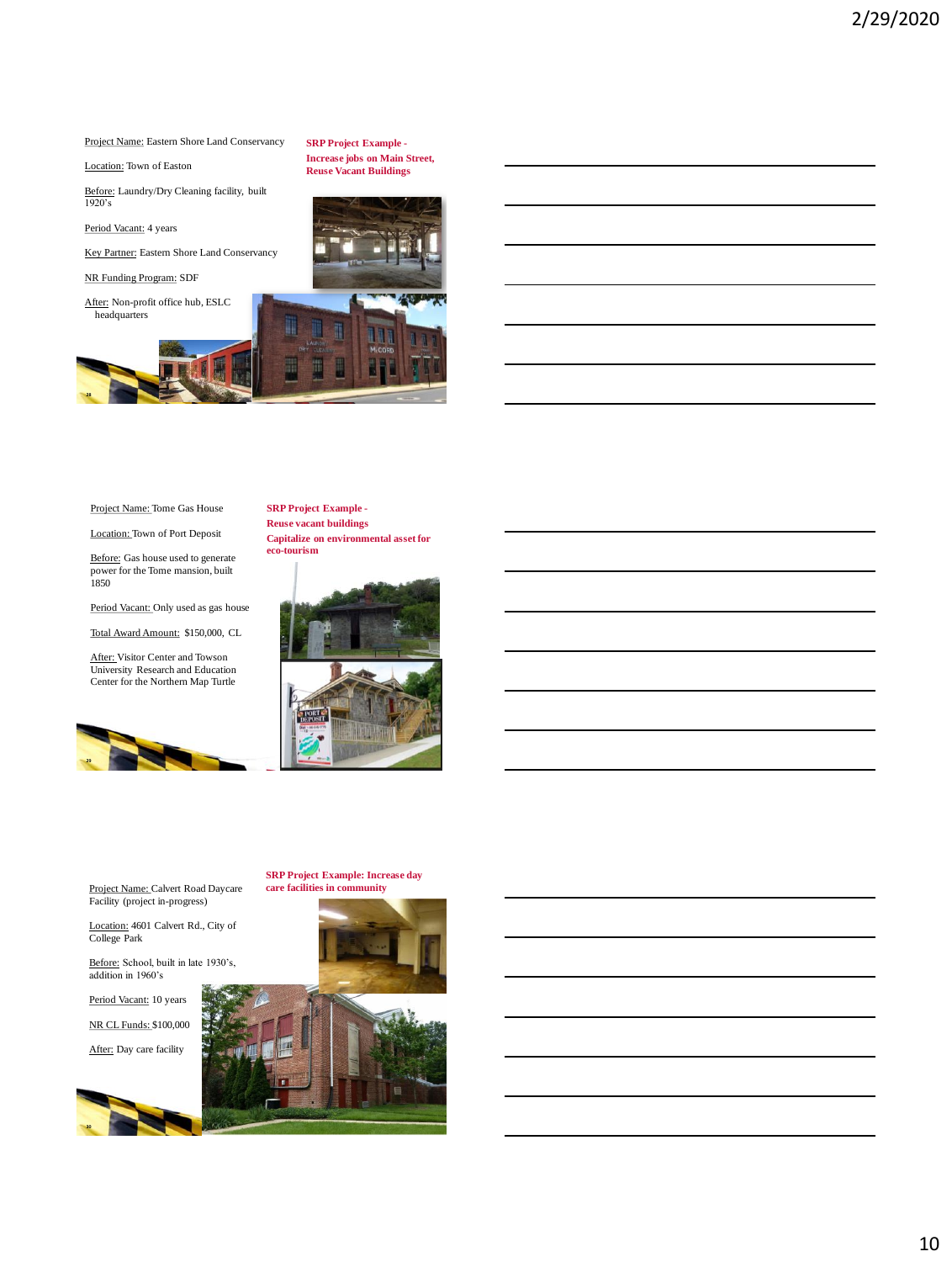Project Name: Eastern Shore Land Conservancy

Location: Town of Easton

Before: Laundry/Dry Cleaning facility, built 1920's

Period Vacant: 4 years

**28**

Key Partner: Eastern Shore Land Conservancy

NR Funding Program: SDF

After: Non-profit office hub, ESLC headquarters



**SRP Project Example - Increase jobs on Main Street, Reuse Vacant Buildings**

> **Maryland Department of Housing and Community Development**

Project Name: Tome Gas House

Location: Town of Port Deposit

Before: Gas house used to generate power for the Tome mansion, built 1850

Period Vacant: Only used as gas house

Total Award Amount: \$150,000, CL

After: Visitor Center and Towson University Research and Education Center for the Northern Map Turtle







*Kenneth C. Holt, Secretary Tony Reed, Deputy Secretary*

*Kenneth C. Holt, Secretary*

Project Name: Calvert Road Daycare Facility (project in-progress)

Location: 4601 Calvert Rd., City of College Park

Before: School, built in late 1930's, addition in 1960's

Period Vacant: 10 years

NR CL Funds: \$100,000

After: Day care facility

**30**



**SRP Project Example: Increase day**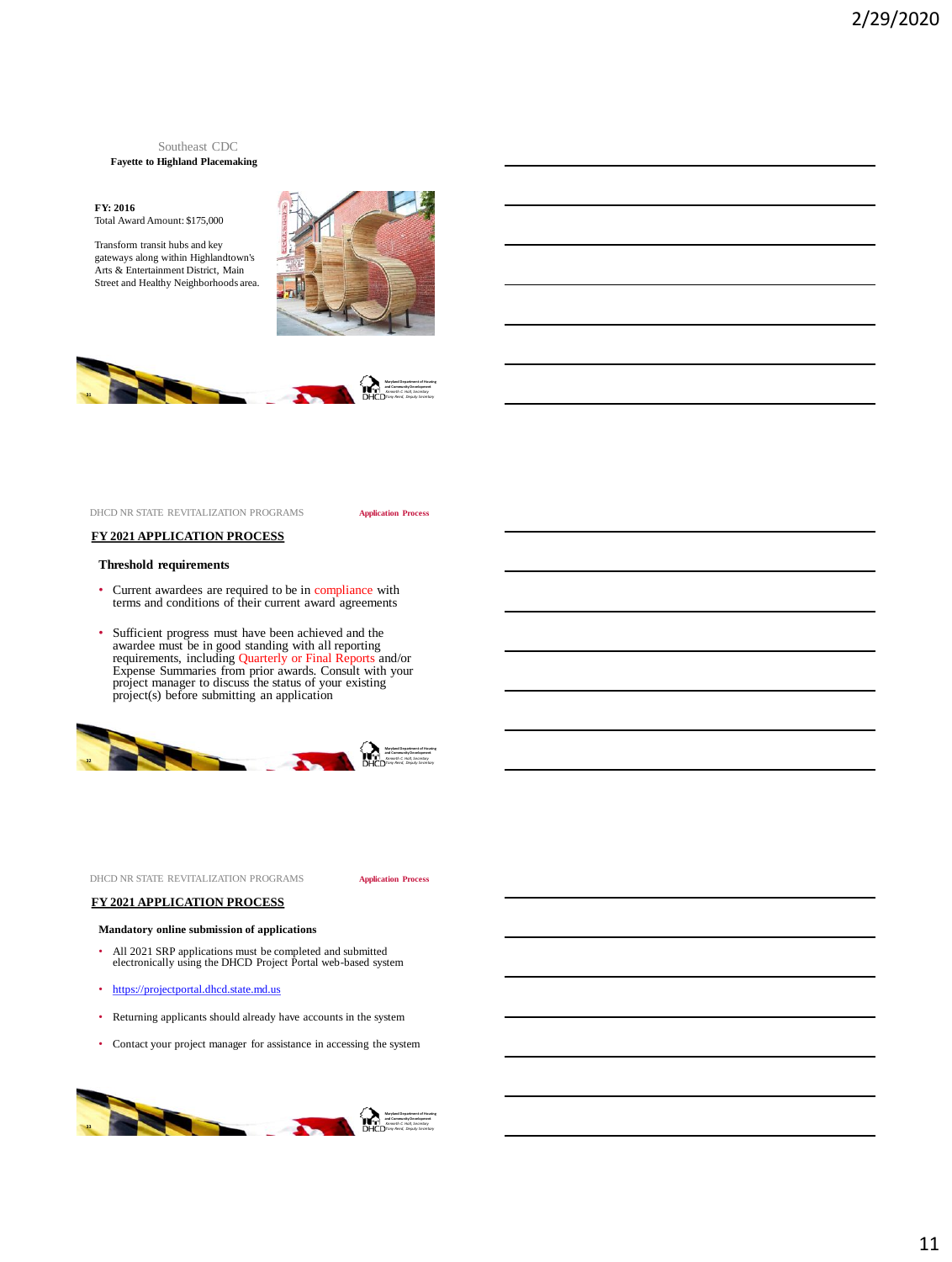# **Fayette to Highland Placemaking** Southeast CDC

#### **FY: 2016** Total Award Amount: \$175,000

Transform transit hubs and key gateways along within Highlandtown's Arts & Entertainment District, Main Street and Healthy Neighborhoods area.





#### DHCD NR STATE REVITALIZATION PROGRAMS

**Application Process**

# **FY 2021 APPLICATION PROCESS**

# **Threshold requirements**

- Current awardees are required to be in compliance with terms and conditions of their current award agreements
- Sufficient progress must have been achieved and the awardee must be in good standing with all reporting<br>requirements, including Quarterly or Final Reports and/or<br>Expense Summaries from prior awards. Consult with your<br>project manager to discuss the status of your existing<br>pr



DHCD NR STATE REVITALIZATION PROGRAMS

**Application Process**

# **FY 2021 APPLICATION PROCESS**

# **Mandatory online submission of applications**

- All 2021 SRP applications must be completed and submitted electronically using the DHCD Project Portal web-based system
- [https://projectportal.dhcd.state.md.us](http://project.portal.dhcd.state.md.us/)
- Returning applicants should already have accounts in the system
- Contact your project manager for assistance in accessing the system

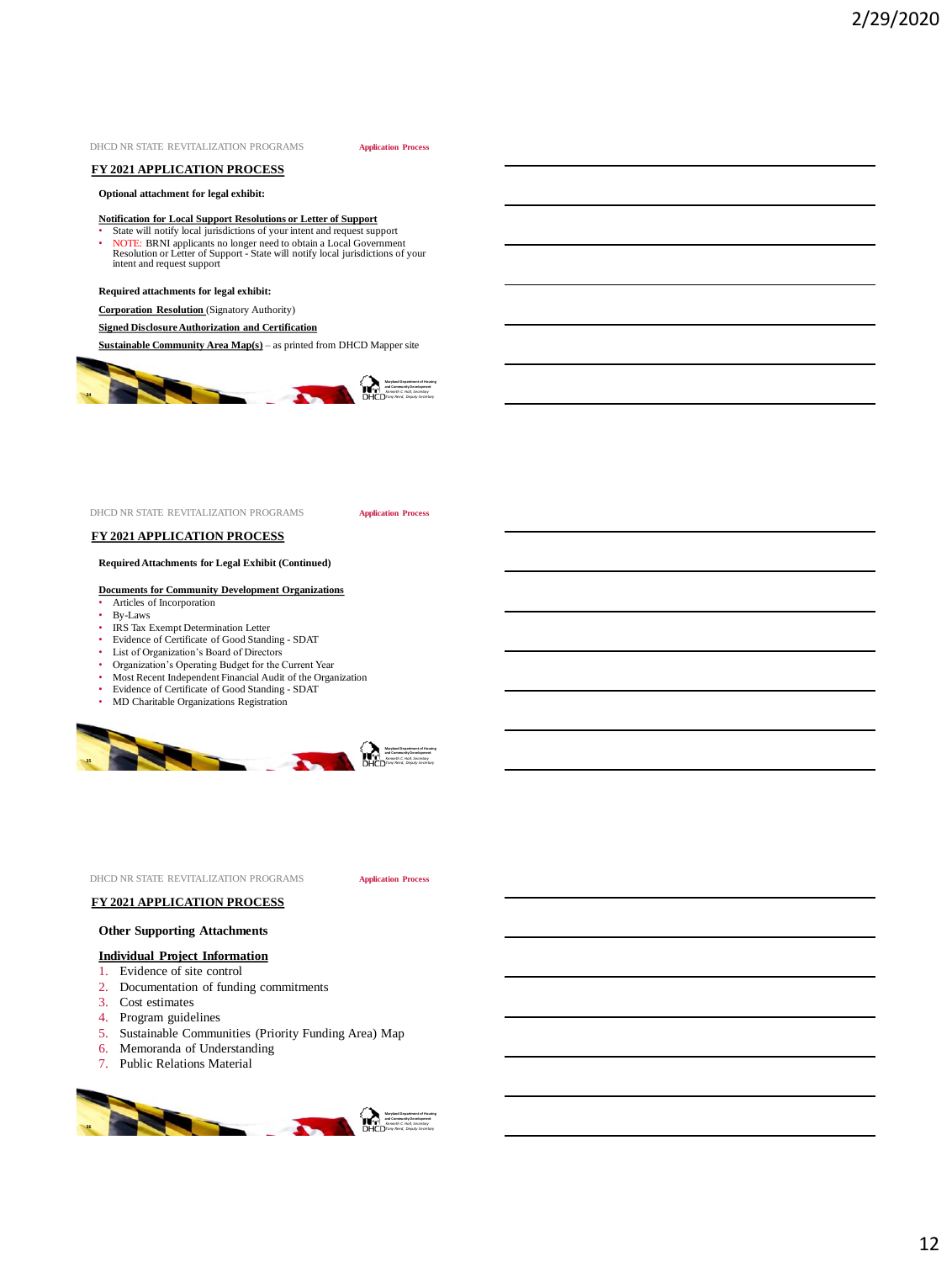**Application Process**

# **FY 2021 APPLICATION PROCESS**

#### **Optional attachment for legal exhibit:**

# **Notification for Local Support Resolutions or Letter of Support**

- State will notify local jurisdictions of your intent and request support
- NOTE: BRNI applicants no longer need to obtain a Local Government Resolution or Letter of Support State will notify local jurisdictions of your intent and request support

# **Required attachments for legal exhibit:**

**Corporation Resolution** (Signatory Authority)

# **Signed Disclosure Authorization and Certification**

**Sustainable Community Area Map(s)** – as printed from DHCD Mapper site



#### DHCD NR STATE REVITALIZATION PROGRAMS

**Application Process**

# **FY 2021 APPLICATION PROCESS**

# **Required Attachments for Legal Exhibit (Continued)**

#### **Documents for Community Development Organizations**

- Articles of Incorporation
- By-Laws
- IRS Tax Exempt Determination Letter
- Evidence of Certificate of Good Standing SDAT
- List of Organization's Board of Directors
- Organization's Operating Budget for the Current Year<br>• Most Becont Independent Financial Audit of the Organization
- Most Recent Independent Financial Audit of the Organization<br>• Evidence of Certificate of Good Standing SDAT
- Evidence of Certificate of Good Standing SDAT
- MD Charitable Organizations Registration



DHCD NR STATE REVITALIZATION PROGRAMS

**Application Process**

# **FY 2021 APPLICATION PROCESS**

# **Other Supporting Attachments**

# **Individual Project Information**

- 1. Evidence of site control
- 2. Documentation of funding commitments
- 3. Cost estimates
- 4. Program guidelines
- 5. Sustainable Communities (Priority Funding Area) Map
- 6. Memoranda of Understanding
- 7. Public Relations Material

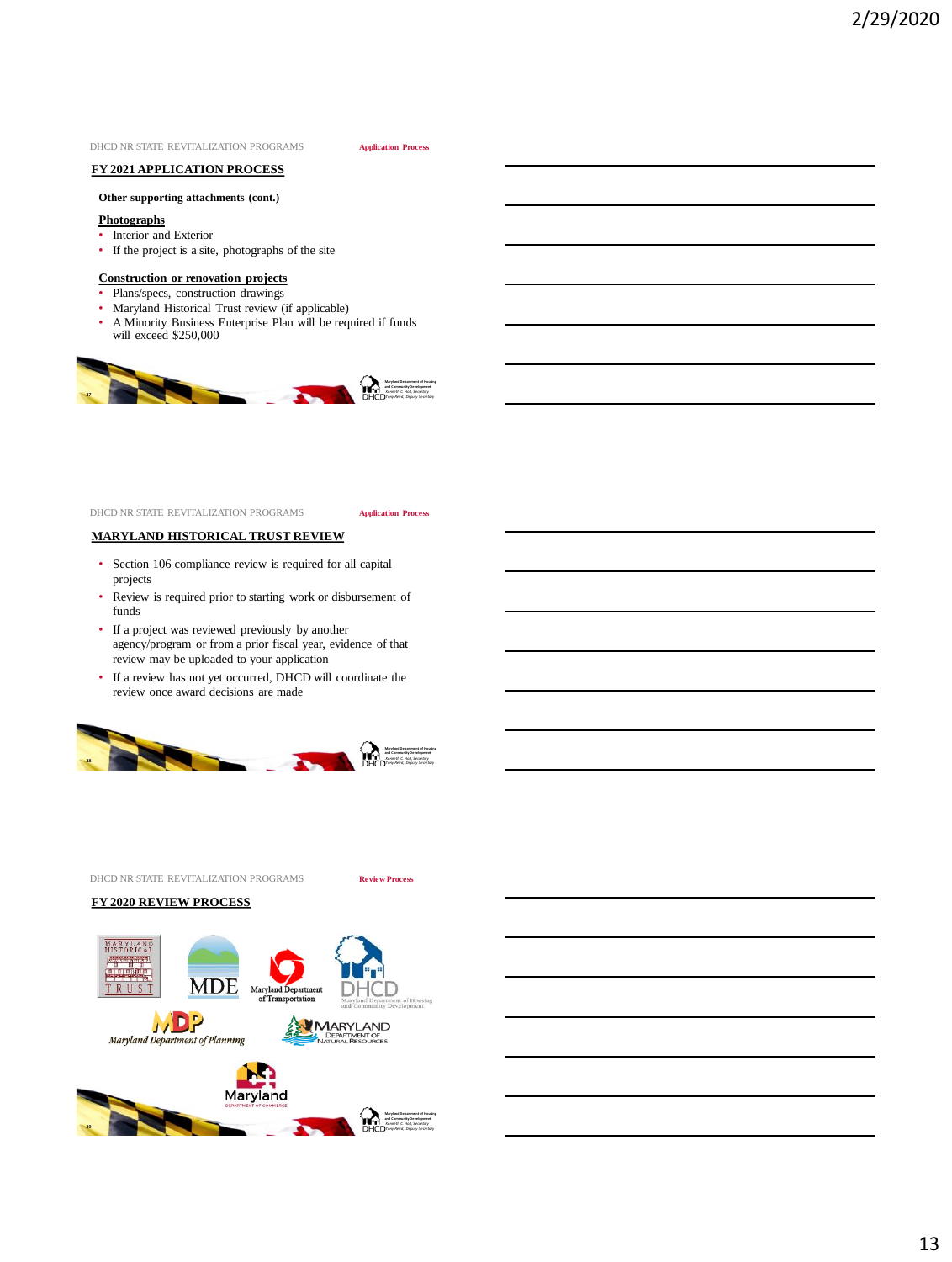# **FY 2021 APPLICATION PROCESS**

# **Other supporting attachments (cont.)**

# **Photographs**

- Interior and Exterior
- If the project is a site, photographs of the site

# **Construction or renovation projects**

- Plans/specs, construction drawings
- Maryland Historical Trust review (if applicable)
- A Minority Business Enterprise Plan will be required if funds will exceed \$250,000



DHCD NR STATE REVITALIZATION PROGRAMS **Application Process**

**Application Process**

# **MARYLAND HISTORICAL TRUST REVIEW**

- Section 106 compliance review is required for all capital projects
- Review is required prior to starting work or disbursement of funds
- If a project was reviewed previously by another agency/program or from a prior fiscal year, evidence of that review may be uploaded to your application
- If a review has not yet occurred, DHCD will coordinate the review once award decisions are made



DHCD NR STATE REVITALIZATION PROGRAMS **Review ProcessFY 2020 REVIEW PROCESS MARYLAND**<br>HISTORICAL MDE Maryland Department TRUS Maryland Department of Planning MARYLAND **DEPARTMENT OF NATURAL RESOURCES** Maryland **Maryland Department of Housing and Community Development** *Kenneth C. Holt, Secretary Tony Reed, Deputy Secretary* **39**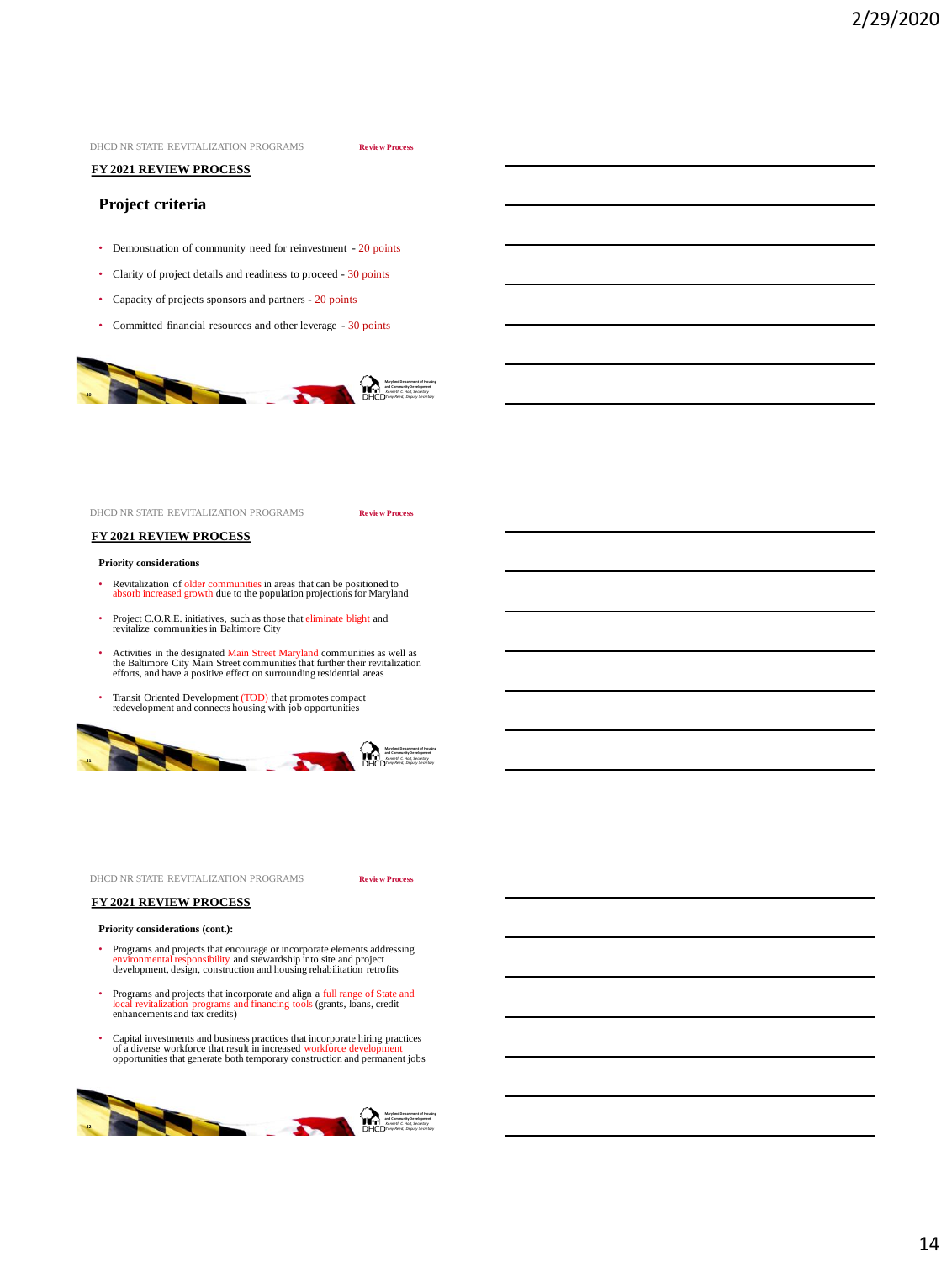**Review Process**

# **FY 2021 REVIEW PROCESS**

# **Project criteria**

- Demonstration of community need for reinvestment 20 points
- Clarity of project details and readiness to proceed 30 points
- Capacity of projects sponsors and partners 20 points
- Committed financial resources and other leverage 30 points



DHCD NR STATE REVITALIZATION PROGRAMS

**Review Process**

# **FY 2021 REVIEW PROCESS**

# **Priority considerations**

- Revitalization of older communities in areas that can be positioned to absorb increased growth due to the population projections for Maryland
- Project C.O.R.E. initiatives, such as those that eliminate blight and revitalize communities in Baltimore City
- Activities in the designated Main Street Maryland communities as well as the Baltimore City Main Street communities that further their revitalization efforts, and have a positive effect on surrounding residential areas
- Transit Oriented Development (TOD) that promotes compact redevelopment and connects housing with job opportunities



DHCD NR STATE REVITALIZATION PROGRAMS

**Review Process**

# **FY 2021 REVIEW PROCESS**

# **Priority considerations (cont.):**

- Programs and projects that encourage or incorporate elements addressing environmental responsibility and stewardship into site and project development, design, construction and housing rehabilitation retrofits
- Programs and projects that incorporate and align a full range of State and local revitalization programs and financing tools (grants, loans, credit enhancements and tax credits)
- Capital investments and business practices that incorporate hiring practices of a diverse workforce that result in increased workforce development opportunities that generate both temporary construction and permanent jobs